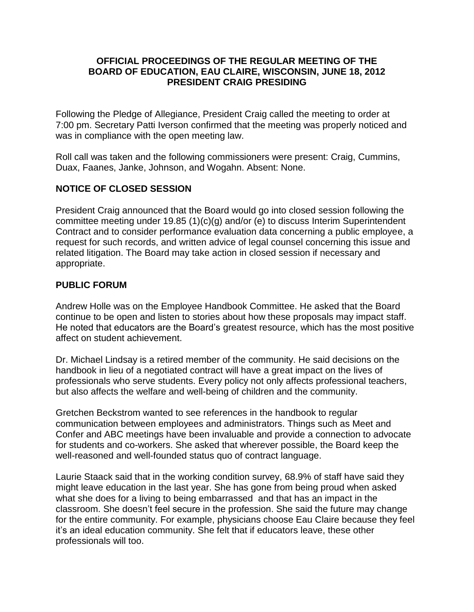## **OFFICIAL PROCEEDINGS OF THE REGULAR MEETING OF THE BOARD OF EDUCATION, EAU CLAIRE, WISCONSIN, JUNE 18, 2012 PRESIDENT CRAIG PRESIDING**

Following the Pledge of Allegiance, President Craig called the meeting to order at 7:00 pm. Secretary Patti Iverson confirmed that the meeting was properly noticed and was in compliance with the open meeting law.

Roll call was taken and the following commissioners were present: Craig, Cummins, Duax, Faanes, Janke, Johnson, and Wogahn. Absent: None.

## **NOTICE OF CLOSED SESSION**

President Craig announced that the Board would go into closed session following the committee meeting under 19.85 (1)(c)(g) and/or (e) to discuss Interim Superintendent Contract and to consider performance evaluation data concerning a public employee, a request for such records, and written advice of legal counsel concerning this issue and related litigation. The Board may take action in closed session if necessary and appropriate.

## **PUBLIC FORUM**

Andrew Holle was on the Employee Handbook Committee. He asked that the Board continue to be open and listen to stories about how these proposals may impact staff. He noted that educators are the Board's greatest resource, which has the most positive affect on student achievement.

Dr. Michael Lindsay is a retired member of the community. He said decisions on the handbook in lieu of a negotiated contract will have a great impact on the lives of professionals who serve students. Every policy not only affects professional teachers, but also affects the welfare and well-being of children and the community.

Gretchen Beckstrom wanted to see references in the handbook to regular communication between employees and administrators. Things such as Meet and Confer and ABC meetings have been invaluable and provide a connection to advocate for students and co-workers. She asked that wherever possible, the Board keep the well-reasoned and well-founded status quo of contract language.

Laurie Staack said that in the working condition survey, 68.9% of staff have said they might leave education in the last year. She has gone from being proud when asked what she does for a living to being embarrassed and that has an impact in the classroom. She doesn't feel secure in the profession. She said the future may change for the entire community. For example, physicians choose Eau Claire because they feel it's an ideal education community. She felt that if educators leave, these other professionals will too.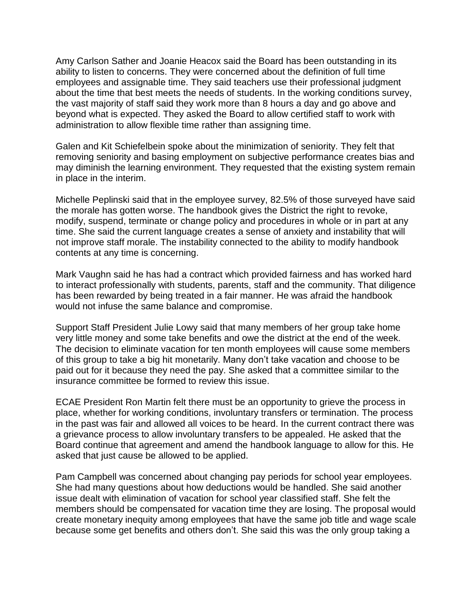Amy Carlson Sather and Joanie Heacox said the Board has been outstanding in its ability to listen to concerns. They were concerned about the definition of full time employees and assignable time. They said teachers use their professional judgment about the time that best meets the needs of students. In the working conditions survey, the vast majority of staff said they work more than 8 hours a day and go above and beyond what is expected. They asked the Board to allow certified staff to work with administration to allow flexible time rather than assigning time.

Galen and Kit Schiefelbein spoke about the minimization of seniority. They felt that removing seniority and basing employment on subjective performance creates bias and may diminish the learning environment. They requested that the existing system remain in place in the interim.

Michelle Peplinski said that in the employee survey, 82.5% of those surveyed have said the morale has gotten worse. The handbook gives the District the right to revoke, modify, suspend, terminate or change policy and procedures in whole or in part at any time. She said the current language creates a sense of anxiety and instability that will not improve staff morale. The instability connected to the ability to modify handbook contents at any time is concerning.

Mark Vaughn said he has had a contract which provided fairness and has worked hard to interact professionally with students, parents, staff and the community. That diligence has been rewarded by being treated in a fair manner. He was afraid the handbook would not infuse the same balance and compromise.

Support Staff President Julie Lowy said that many members of her group take home very little money and some take benefits and owe the district at the end of the week. The decision to eliminate vacation for ten month employees will cause some members of this group to take a big hit monetarily. Many don't take vacation and choose to be paid out for it because they need the pay. She asked that a committee similar to the insurance committee be formed to review this issue.

ECAE President Ron Martin felt there must be an opportunity to grieve the process in place, whether for working conditions, involuntary transfers or termination. The process in the past was fair and allowed all voices to be heard. In the current contract there was a grievance process to allow involuntary transfers to be appealed. He asked that the Board continue that agreement and amend the handbook language to allow for this. He asked that just cause be allowed to be applied.

Pam Campbell was concerned about changing pay periods for school year employees. She had many questions about how deductions would be handled. She said another issue dealt with elimination of vacation for school year classified staff. She felt the members should be compensated for vacation time they are losing. The proposal would create monetary inequity among employees that have the same job title and wage scale because some get benefits and others don't. She said this was the only group taking a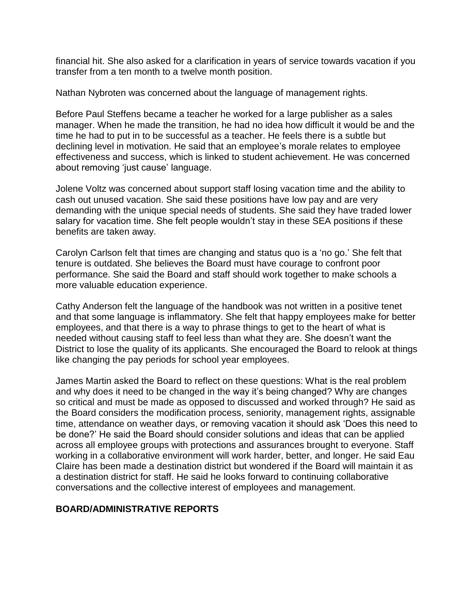financial hit. She also asked for a clarification in years of service towards vacation if you transfer from a ten month to a twelve month position.

Nathan Nybroten was concerned about the language of management rights.

Before Paul Steffens became a teacher he worked for a large publisher as a sales manager. When he made the transition, he had no idea how difficult it would be and the time he had to put in to be successful as a teacher. He feels there is a subtle but declining level in motivation. He said that an employee's morale relates to employee effectiveness and success, which is linked to student achievement. He was concerned about removing 'just cause' language.

Jolene Voltz was concerned about support staff losing vacation time and the ability to cash out unused vacation. She said these positions have low pay and are very demanding with the unique special needs of students. She said they have traded lower salary for vacation time. She felt people wouldn't stay in these SEA positions if these benefits are taken away.

Carolyn Carlson felt that times are changing and status quo is a 'no go.' She felt that tenure is outdated. She believes the Board must have courage to confront poor performance. She said the Board and staff should work together to make schools a more valuable education experience.

Cathy Anderson felt the language of the handbook was not written in a positive tenet and that some language is inflammatory. She felt that happy employees make for better employees, and that there is a way to phrase things to get to the heart of what is needed without causing staff to feel less than what they are. She doesn't want the District to lose the quality of its applicants. She encouraged the Board to relook at things like changing the pay periods for school year employees.

James Martin asked the Board to reflect on these questions: What is the real problem and why does it need to be changed in the way it's being changed? Why are changes so critical and must be made as opposed to discussed and worked through? He said as the Board considers the modification process, seniority, management rights, assignable time, attendance on weather days, or removing vacation it should ask 'Does this need to be done?' He said the Board should consider solutions and ideas that can be applied across all employee groups with protections and assurances brought to everyone. Staff working in a collaborative environment will work harder, better, and longer. He said Eau Claire has been made a destination district but wondered if the Board will maintain it as a destination district for staff. He said he looks forward to continuing collaborative conversations and the collective interest of employees and management.

## **BOARD/ADMINISTRATIVE REPORTS**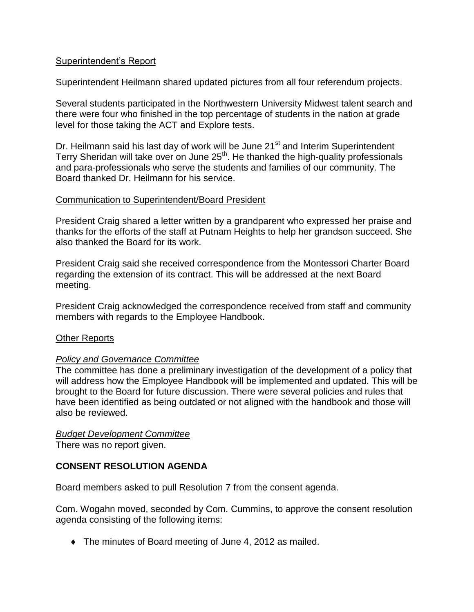## Superintendent's Report

Superintendent Heilmann shared updated pictures from all four referendum projects.

Several students participated in the Northwestern University Midwest talent search and there were four who finished in the top percentage of students in the nation at grade level for those taking the ACT and Explore tests.

Dr. Heilmann said his last day of work will be June 21<sup>st</sup> and Interim Superintendent Terry Sheridan will take over on June 25<sup>th</sup>. He thanked the high-quality professionals and para-professionals who serve the students and families of our community. The Board thanked Dr. Heilmann for his service.

## Communication to Superintendent/Board President

President Craig shared a letter written by a grandparent who expressed her praise and thanks for the efforts of the staff at Putnam Heights to help her grandson succeed. She also thanked the Board for its work.

President Craig said she received correspondence from the Montessori Charter Board regarding the extension of its contract. This will be addressed at the next Board meeting.

President Craig acknowledged the correspondence received from staff and community members with regards to the Employee Handbook.

## **Other Reports**

## *Policy and Governance Committee*

The committee has done a preliminary investigation of the development of a policy that will address how the Employee Handbook will be implemented and updated. This will be brought to the Board for future discussion. There were several policies and rules that have been identified as being outdated or not aligned with the handbook and those will also be reviewed.

## *Budget Development Committee*

There was no report given.

## **CONSENT RESOLUTION AGENDA**

Board members asked to pull Resolution 7 from the consent agenda.

Com. Wogahn moved, seconded by Com. Cummins, to approve the consent resolution agenda consisting of the following items:

The minutes of Board meeting of June 4, 2012 as mailed.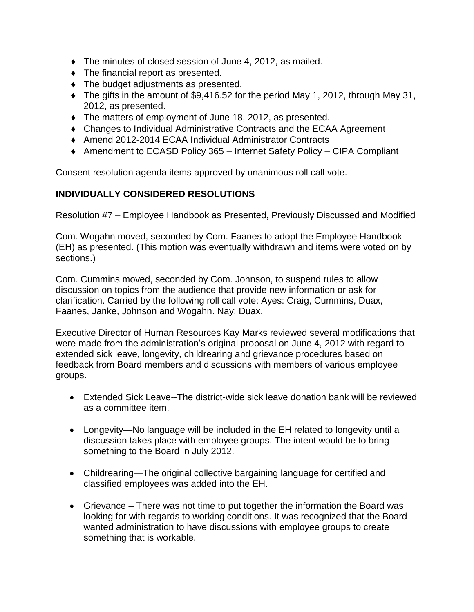- The minutes of closed session of June 4, 2012, as mailed.
- The financial report as presented.
- The budget adjustments as presented.
- The gifts in the amount of \$9,416.52 for the period May 1, 2012, through May 31, 2012, as presented.
- The matters of employment of June 18, 2012, as presented.
- Changes to Individual Administrative Contracts and the ECAA Agreement
- ◆ Amend 2012-2014 ECAA Individual Administrator Contracts
- ◆ Amendment to ECASD Policy 365 Internet Safety Policy CIPA Compliant

Consent resolution agenda items approved by unanimous roll call vote.

## **INDIVIDUALLY CONSIDERED RESOLUTIONS**

#### Resolution #7 – Employee Handbook as Presented, Previously Discussed and Modified

Com. Wogahn moved, seconded by Com. Faanes to adopt the Employee Handbook (EH) as presented. (This motion was eventually withdrawn and items were voted on by sections.)

Com. Cummins moved, seconded by Com. Johnson, to suspend rules to allow discussion on topics from the audience that provide new information or ask for clarification. Carried by the following roll call vote: Ayes: Craig, Cummins, Duax, Faanes, Janke, Johnson and Wogahn. Nay: Duax.

Executive Director of Human Resources Kay Marks reviewed several modifications that were made from the administration's original proposal on June 4, 2012 with regard to extended sick leave, longevity, childrearing and grievance procedures based on feedback from Board members and discussions with members of various employee groups.

- Extended Sick Leave--The district-wide sick leave donation bank will be reviewed as a committee item.
- Longevity—No language will be included in the EH related to longevity until a discussion takes place with employee groups. The intent would be to bring something to the Board in July 2012.
- Childrearing—The original collective bargaining language for certified and classified employees was added into the EH.
- Grievance There was not time to put together the information the Board was looking for with regards to working conditions. It was recognized that the Board wanted administration to have discussions with employee groups to create something that is workable.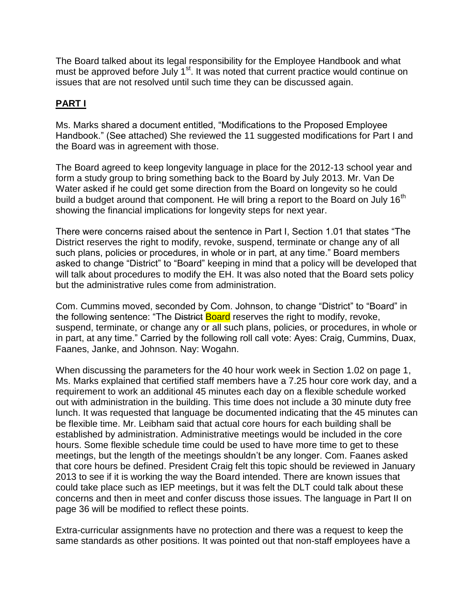The Board talked about its legal responsibility for the Employee Handbook and what must be approved before July 1<sup>st</sup>. It was noted that current practice would continue on issues that are not resolved until such time they can be discussed again.

# **PART I**

Ms. Marks shared a document entitled, "Modifications to the Proposed Employee Handbook." (See attached) She reviewed the 11 suggested modifications for Part I and the Board was in agreement with those.

The Board agreed to keep longevity language in place for the 2012-13 school year and form a study group to bring something back to the Board by July 2013. Mr. Van De Water asked if he could get some direction from the Board on longevity so he could build a budget around that component. He will bring a report to the Board on July 16<sup>th</sup> showing the financial implications for longevity steps for next year.

There were concerns raised about the sentence in Part I, Section 1.01 that states "The District reserves the right to modify, revoke, suspend, terminate or change any of all such plans, policies or procedures, in whole or in part, at any time." Board members asked to change "District" to "Board" keeping in mind that a policy will be developed that will talk about procedures to modify the EH. It was also noted that the Board sets policy but the administrative rules come from administration.

Com. Cummins moved, seconded by Com. Johnson, to change "District" to "Board" in the following sentence: "The District Board reserves the right to modify, revoke, suspend, terminate, or change any or all such plans, policies, or procedures, in whole or in part, at any time." Carried by the following roll call vote: Ayes: Craig, Cummins, Duax, Faanes, Janke, and Johnson. Nay: Wogahn.

When discussing the parameters for the 40 hour work week in Section 1.02 on page 1, Ms. Marks explained that certified staff members have a 7.25 hour core work day, and a requirement to work an additional 45 minutes each day on a flexible schedule worked out with administration in the building. This time does not include a 30 minute duty free lunch. It was requested that language be documented indicating that the 45 minutes can be flexible time. Mr. Leibham said that actual core hours for each building shall be established by administration. Administrative meetings would be included in the core hours. Some flexible schedule time could be used to have more time to get to these meetings, but the length of the meetings shouldn't be any longer. Com. Faanes asked that core hours be defined. President Craig felt this topic should be reviewed in January 2013 to see if it is working the way the Board intended. There are known issues that could take place such as IEP meetings, but it was felt the DLT could talk about these concerns and then in meet and confer discuss those issues. The language in Part II on page 36 will be modified to reflect these points.

Extra-curricular assignments have no protection and there was a request to keep the same standards as other positions. It was pointed out that non-staff employees have a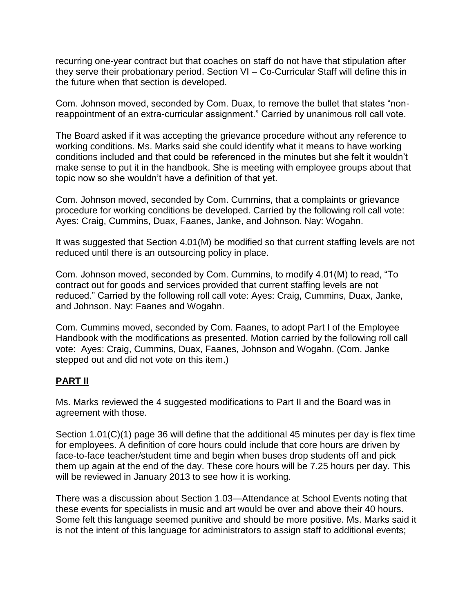recurring one-year contract but that coaches on staff do not have that stipulation after they serve their probationary period. Section VI – Co-Curricular Staff will define this in the future when that section is developed.

Com. Johnson moved, seconded by Com. Duax, to remove the bullet that states "nonreappointment of an extra-curricular assignment." Carried by unanimous roll call vote.

The Board asked if it was accepting the grievance procedure without any reference to working conditions. Ms. Marks said she could identify what it means to have working conditions included and that could be referenced in the minutes but she felt it wouldn't make sense to put it in the handbook. She is meeting with employee groups about that topic now so she wouldn't have a definition of that yet.

Com. Johnson moved, seconded by Com. Cummins, that a complaints or grievance procedure for working conditions be developed. Carried by the following roll call vote: Ayes: Craig, Cummins, Duax, Faanes, Janke, and Johnson. Nay: Wogahn.

It was suggested that Section 4.01(M) be modified so that current staffing levels are not reduced until there is an outsourcing policy in place.

Com. Johnson moved, seconded by Com. Cummins, to modify 4.01(M) to read, "To contract out for goods and services provided that current staffing levels are not reduced." Carried by the following roll call vote: Ayes: Craig, Cummins, Duax, Janke, and Johnson. Nay: Faanes and Wogahn.

Com. Cummins moved, seconded by Com. Faanes, to adopt Part I of the Employee Handbook with the modifications as presented. Motion carried by the following roll call vote: Ayes: Craig, Cummins, Duax, Faanes, Johnson and Wogahn. (Com. Janke stepped out and did not vote on this item.)

## **PART II**

Ms. Marks reviewed the 4 suggested modifications to Part II and the Board was in agreement with those.

Section 1.01(C)(1) page 36 will define that the additional 45 minutes per day is flex time for employees. A definition of core hours could include that core hours are driven by face-to-face teacher/student time and begin when buses drop students off and pick them up again at the end of the day. These core hours will be 7.25 hours per day. This will be reviewed in January 2013 to see how it is working.

There was a discussion about Section 1.03—Attendance at School Events noting that these events for specialists in music and art would be over and above their 40 hours. Some felt this language seemed punitive and should be more positive. Ms. Marks said it is not the intent of this language for administrators to assign staff to additional events;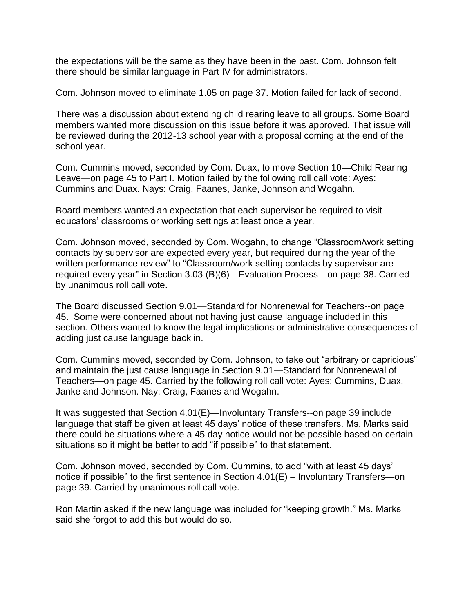the expectations will be the same as they have been in the past. Com. Johnson felt there should be similar language in Part IV for administrators.

Com. Johnson moved to eliminate 1.05 on page 37. Motion failed for lack of second.

There was a discussion about extending child rearing leave to all groups. Some Board members wanted more discussion on this issue before it was approved. That issue will be reviewed during the 2012-13 school year with a proposal coming at the end of the school year.

Com. Cummins moved, seconded by Com. Duax, to move Section 10—Child Rearing Leave—on page 45 to Part I. Motion failed by the following roll call vote: Ayes: Cummins and Duax. Nays: Craig, Faanes, Janke, Johnson and Wogahn.

Board members wanted an expectation that each supervisor be required to visit educators' classrooms or working settings at least once a year.

Com. Johnson moved, seconded by Com. Wogahn, to change "Classroom/work setting contacts by supervisor are expected every year, but required during the year of the written performance review" to "Classroom/work setting contacts by supervisor are required every year" in Section 3.03 (B)(6)—Evaluation Process—on page 38. Carried by unanimous roll call vote.

The Board discussed Section 9.01—Standard for Nonrenewal for Teachers--on page 45. Some were concerned about not having just cause language included in this section. Others wanted to know the legal implications or administrative consequences of adding just cause language back in.

Com. Cummins moved, seconded by Com. Johnson, to take out "arbitrary or capricious" and maintain the just cause language in Section 9.01—Standard for Nonrenewal of Teachers—on page 45. Carried by the following roll call vote: Ayes: Cummins, Duax, Janke and Johnson. Nay: Craig, Faanes and Wogahn.

It was suggested that Section 4.01(E)—Involuntary Transfers--on page 39 include language that staff be given at least 45 days' notice of these transfers. Ms. Marks said there could be situations where a 45 day notice would not be possible based on certain situations so it might be better to add "if possible" to that statement.

Com. Johnson moved, seconded by Com. Cummins, to add "with at least 45 days' notice if possible" to the first sentence in Section 4.01(E) – Involuntary Transfers—on page 39. Carried by unanimous roll call vote.

Ron Martin asked if the new language was included for "keeping growth." Ms. Marks said she forgot to add this but would do so.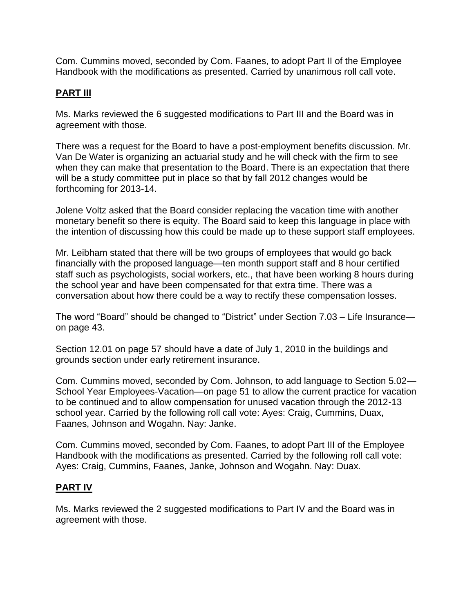Com. Cummins moved, seconded by Com. Faanes, to adopt Part II of the Employee Handbook with the modifications as presented. Carried by unanimous roll call vote.

# **PART III**

Ms. Marks reviewed the 6 suggested modifications to Part III and the Board was in agreement with those.

There was a request for the Board to have a post-employment benefits discussion. Mr. Van De Water is organizing an actuarial study and he will check with the firm to see when they can make that presentation to the Board. There is an expectation that there will be a study committee put in place so that by fall 2012 changes would be forthcoming for 2013-14.

Jolene Voltz asked that the Board consider replacing the vacation time with another monetary benefit so there is equity. The Board said to keep this language in place with the intention of discussing how this could be made up to these support staff employees.

Mr. Leibham stated that there will be two groups of employees that would go back financially with the proposed language—ten month support staff and 8 hour certified staff such as psychologists, social workers, etc., that have been working 8 hours during the school year and have been compensated for that extra time. There was a conversation about how there could be a way to rectify these compensation losses.

The word "Board" should be changed to "District" under Section 7.03 – Life Insurance on page 43.

Section 12.01 on page 57 should have a date of July 1, 2010 in the buildings and grounds section under early retirement insurance.

Com. Cummins moved, seconded by Com. Johnson, to add language to Section 5.02— School Year Employees-Vacation—on page 51 to allow the current practice for vacation to be continued and to allow compensation for unused vacation through the 2012-13 school year. Carried by the following roll call vote: Ayes: Craig, Cummins, Duax, Faanes, Johnson and Wogahn. Nay: Janke.

Com. Cummins moved, seconded by Com. Faanes, to adopt Part III of the Employee Handbook with the modifications as presented. Carried by the following roll call vote: Ayes: Craig, Cummins, Faanes, Janke, Johnson and Wogahn. Nay: Duax.

# **PART IV**

Ms. Marks reviewed the 2 suggested modifications to Part IV and the Board was in agreement with those.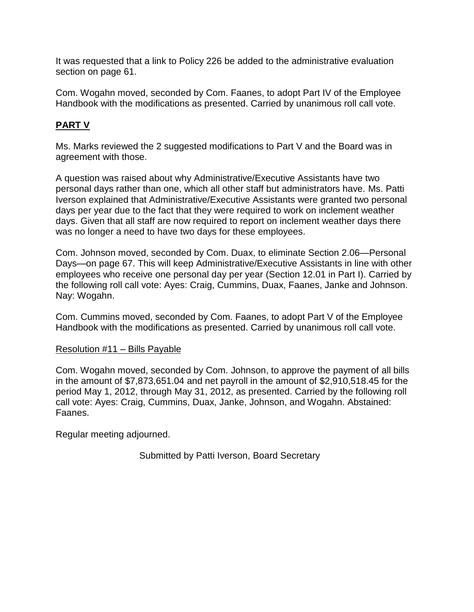It was requested that a link to Policy 226 be added to the administrative evaluation section on page 61.

Com. Wogahn moved, seconded by Com. Faanes, to adopt Part IV of the Employee Handbook with the modifications as presented. Carried by unanimous roll call vote.

# **PART V**

Ms. Marks reviewed the 2 suggested modifications to Part V and the Board was in agreement with those.

A question was raised about why Administrative/Executive Assistants have two personal days rather than one, which all other staff but administrators have. Ms. Patti Iverson explained that Administrative/Executive Assistants were granted two personal days per year due to the fact that they were required to work on inclement weather days. Given that all staff are now required to report on inclement weather days there was no longer a need to have two days for these employees.

Com. Johnson moved, seconded by Com. Duax, to eliminate Section 2.06—Personal Days—on page 67. This will keep Administrative/Executive Assistants in line with other employees who receive one personal day per year (Section 12.01 in Part I). Carried by the following roll call vote: Ayes: Craig, Cummins, Duax, Faanes, Janke and Johnson. Nay: Wogahn.

Com. Cummins moved, seconded by Com. Faanes, to adopt Part V of the Employee Handbook with the modifications as presented. Carried by unanimous roll call vote.

## Resolution #11 – Bills Payable

Com. Wogahn moved, seconded by Com. Johnson, to approve the payment of all bills in the amount of \$7,873,651.04 and net payroll in the amount of \$2,910,518.45 for the period May 1, 2012, through May 31, 2012, as presented. Carried by the following roll call vote: Ayes: Craig, Cummins, Duax, Janke, Johnson, and Wogahn. Abstained: Faanes.

Regular meeting adjourned.

Submitted by Patti Iverson, Board Secretary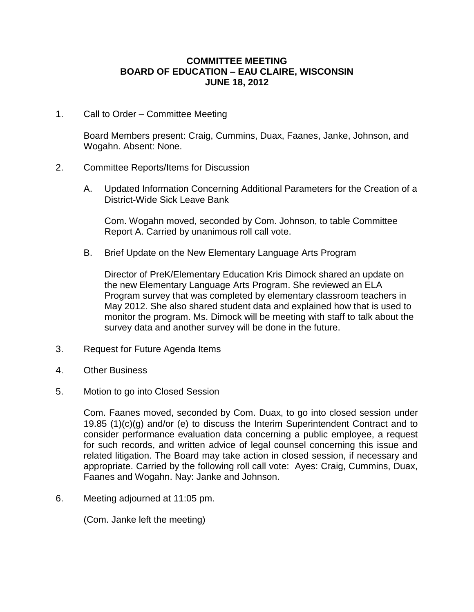#### **COMMITTEE MEETING BOARD OF EDUCATION – EAU CLAIRE, WISCONSIN JUNE 18, 2012**

1. Call to Order – Committee Meeting

Board Members present: Craig, Cummins, Duax, Faanes, Janke, Johnson, and Wogahn. Absent: None.

- 2. Committee Reports/Items for Discussion
	- A. Updated Information Concerning Additional Parameters for the Creation of a District-Wide Sick Leave Bank

Com. Wogahn moved, seconded by Com. Johnson, to table Committee Report A. Carried by unanimous roll call vote.

B. Brief Update on the New Elementary Language Arts Program

Director of PreK/Elementary Education Kris Dimock shared an update on the new Elementary Language Arts Program. She reviewed an ELA Program survey that was completed by elementary classroom teachers in May 2012. She also shared student data and explained how that is used to monitor the program. Ms. Dimock will be meeting with staff to talk about the survey data and another survey will be done in the future.

- 3. Request for Future Agenda Items
- 4. Other Business
- 5. Motion to go into Closed Session

Com. Faanes moved, seconded by Com. Duax, to go into closed session under 19.85 (1)(c)(g) and/or (e) to discuss the Interim Superintendent Contract and to consider performance evaluation data concerning a public employee, a request for such records, and written advice of legal counsel concerning this issue and related litigation. The Board may take action in closed session, if necessary and appropriate. Carried by the following roll call vote: Ayes: Craig, Cummins, Duax, Faanes and Wogahn. Nay: Janke and Johnson.

6. Meeting adjourned at 11:05 pm.

(Com. Janke left the meeting)